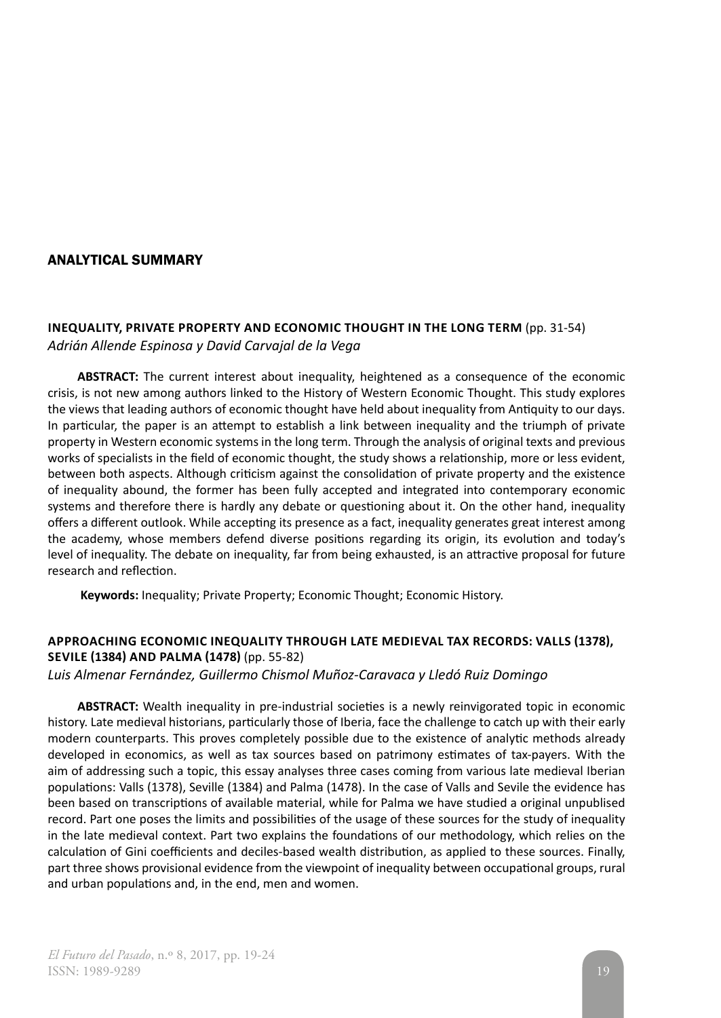## ANALYTICAL SUMMARY

# **INEQUALITY, PRIVATE PROPERTY AND ECONOMIC THOUGHT IN THE LONG TERM** (pp. 31-54) *Adrián Allende Espinosa y David Carvajal de la Vega*

**ABSTRACT:** The current interest about inequality, heightened as a consequence of the economic crisis, is not new among authors linked to the History of Western Economic Thought. This study explores the views that leading authors of economic thought have held about inequality from Antiquity to our days. In particular, the paper is an attempt to establish a link between inequality and the triumph of private property in Western economic systems in the long term. Through the analysis of original texts and previous works of specialists in the field of economic thought, the study shows a relationship, more or less evident, between both aspects. Although criticism against the consolidation of private property and the existence of inequality abound, the former has been fully accepted and integrated into contemporary economic systems and therefore there is hardly any debate or questioning about it. On the other hand, inequality offers a different outlook. While accepting its presence as a fact, inequality generates great interest among the academy, whose members defend diverse positions regarding its origin, its evolution and today's level of inequality. The debate on inequality, far from being exhausted, is an attractive proposal for future research and reflection.

 **Keywords:** Inequality; Private Property; Economic Thought; Economic History.

# **APPROACHING ECONOMIC INEQUALITY THROUGH LATE MEDIEVAL TAX RECORDS: VALLS (1378), SEVILE (1384) AND PALMA (1478)** (pp. 55-82)

*Luis Almenar Fernández, Guillermo Chismol Muñoz-Caravaca y Lledó Ruiz Domingo*

**ABSTRACT:** Wealth inequality in pre-industrial societies is a newly reinvigorated topic in economic history. Late medieval historians, particularly those of Iberia, face the challenge to catch up with their early modern counterparts. This proves completely possible due to the existence of analytic methods already developed in economics, as well as tax sources based on patrimony estimates of tax-payers. With the aim of addressing such a topic, this essay analyses three cases coming from various late medieval Iberian populations: Valls (1378), Seville (1384) and Palma (1478). In the case of Valls and Sevile the evidence has been based on transcriptions of available material, while for Palma we have studied a original unpublised record. Part one poses the limits and possibilities of the usage of these sources for the study of inequality in the late medieval context. Part two explains the foundations of our methodology, which relies on the calculation of Gini coefficients and deciles-based wealth distribution, as applied to these sources. Finally, part three shows provisional evidence from the viewpoint of inequality between occupational groups, rural and urban populations and, in the end, men and women.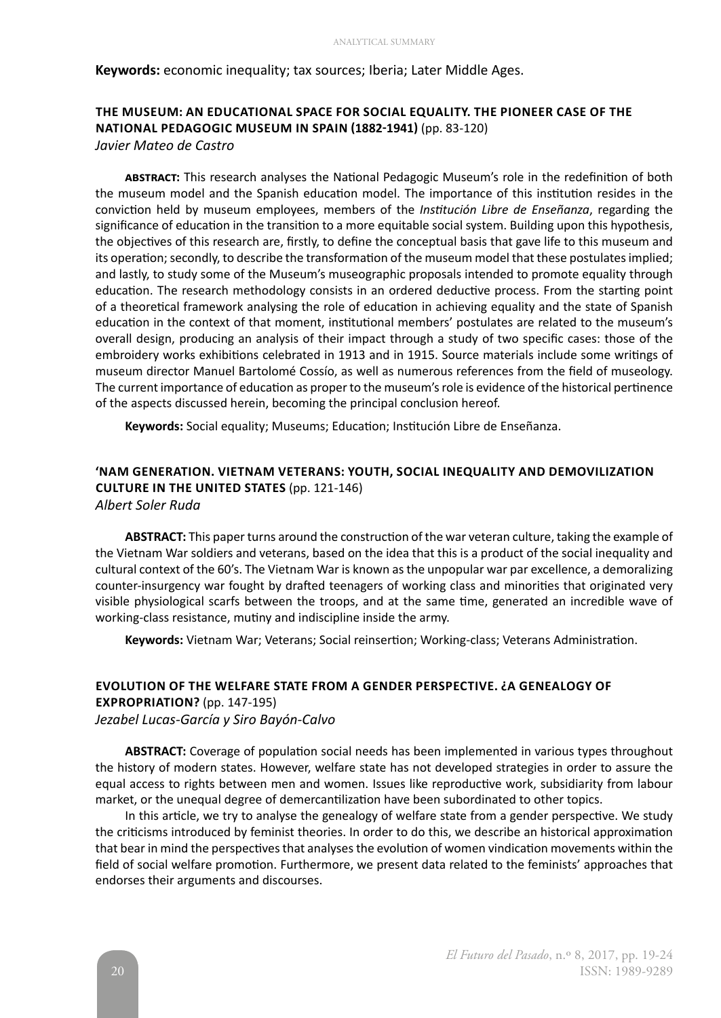#### **Keywords:** economic inequality; tax sources; Iberia; Later Middle Ages.

# **THE MUSEUM: AN EDUCATIONAL SPACE FOR SOCIAL EQUALITY. THE PIONEER CASE OF THE NATIONAL PEDAGOGIC MUSEUM IN SPAIN (1882-1941)** (pp. 83-120)

*Javier Mateo de Castro*

**abstract:** This research analyses the National Pedagogic Museum's role in the redefinition of both the museum model and the Spanish education model. The importance of this institution resides in the conviction held by museum employees, members of the *Institución Libre de Enseñanza*, regarding the significance of education in the transition to a more equitable social system. Building upon this hypothesis, the objectives of this research are, firstly, to define the conceptual basis that gave life to this museum and its operation; secondly, to describe the transformation of the museum model that these postulates implied; and lastly, to study some of the Museum's museographic proposals intended to promote equality through education. The research methodology consists in an ordered deductive process. From the starting point of a theoretical framework analysing the role of education in achieving equality and the state of Spanish education in the context of that moment, institutional members' postulates are related to the museum's overall design, producing an analysis of their impact through a study of two specific cases: those of the embroidery works exhibitions celebrated in 1913 and in 1915. Source materials include some writings of museum director Manuel Bartolomé Cossío, as well as numerous references from the field of museology. The current importance of education as proper to the museum's role is evidence of the historical pertinence of the aspects discussed herein, becoming the principal conclusion hereof.

**Keywords:** Social equality; Museums; Education; Institución Libre de Enseñanza.

# **'NAM GENERATION. VIETNAM VETERANS: YOUTH, SOCIAL INEQUALITY AND DEMOVILIZATION CULTURE IN THE UNITED STATES** (pp. 121-146)

*Albert Soler Ruda*

**ABSTRACT:** This paper turns around the construction of the war veteran culture, taking the example of the Vietnam War soldiers and veterans, based on the idea that this is a product of the social inequality and cultural context of the 60's. The Vietnam War is known as the unpopular war par excellence, a demoralizing counter-insurgency war fought by drafted teenagers of working class and minorities that originated very visible physiological scarfs between the troops, and at the same time, generated an incredible wave of working-class resistance, mutiny and indiscipline inside the army.

**Keywords:** Vietnam War; Veterans; Social reinsertion; Working-class; Veterans Administration.

# **EVOLUTION OF THE WELFARE STATE FROM A GENDER PERSPECTIVE. ¿A GENEALOGY OF EXPROPRIATION?** (pp. 147-195)

*Jezabel Lucas-García y Siro Bayón-Calvo*

**ABSTRACT:** Coverage of population social needs has been implemented in various types throughout the history of modern states. However, welfare state has not developed strategies in order to assure the equal access to rights between men and women. Issues like reproductive work, subsidiarity from labour market, or the unequal degree of demercantilization have been subordinated to other topics.

In this article, we try to analyse the genealogy of welfare state from a gender perspective. We study the criticisms introduced by feminist theories. In order to do this, we describe an historical approximation that bear in mind the perspectives that analyses the evolution of women vindication movements within the field of social welfare promotion. Furthermore, we present data related to the feminists' approaches that endorses their arguments and discourses.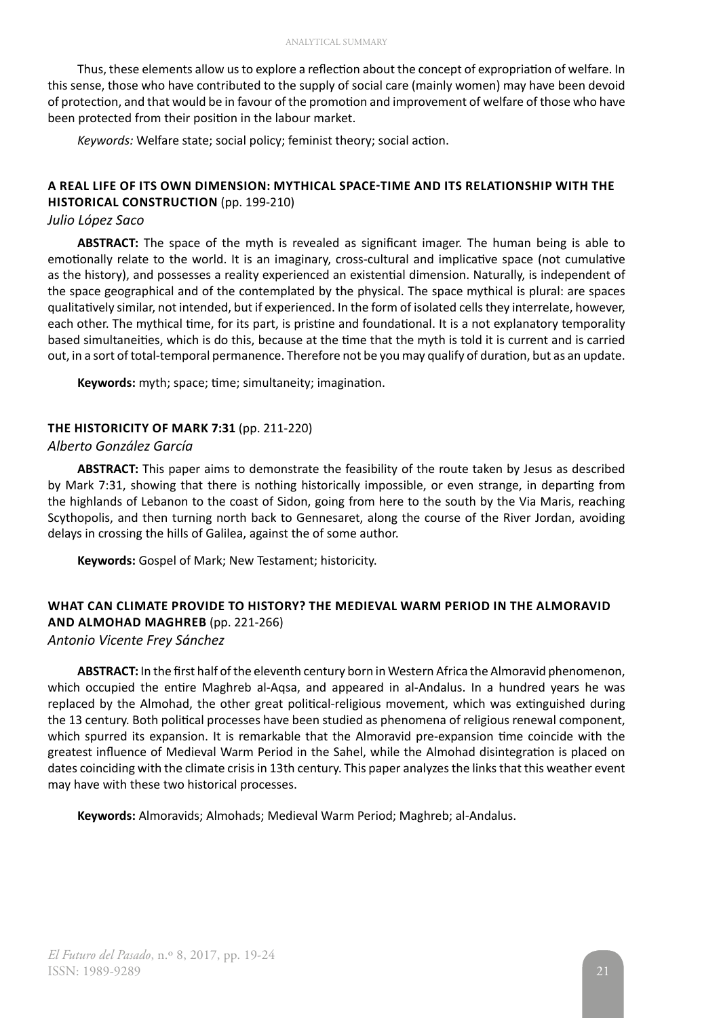Thus, these elements allow us to explore a reflection about the concept of expropriation of welfare. In this sense, those who have contributed to the supply of social care (mainly women) may have been devoid of protection, and that would be in favour of the promotion and improvement of welfare of those who have been protected from their position in the labour market.

*Keywords:* Welfare state; social policy; feminist theory; social action.

### **A REAL LIFE OF ITS OWN DIMENSION: MYTHICAL SPACE-TIME AND ITS RELATIONSHIP WITH THE HISTORICAL CONSTRUCTION** (pp. 199-210)

#### *Julio López Saco*

**ABSTRACT:** The space of the myth is revealed as significant imager. The human being is able to emotionally relate to the world. It is an imaginary, cross-cultural and implicative space (not cumulative as the history), and possesses a reality experienced an existential dimension. Naturally, is independent of the space geographical and of the contemplated by the physical. The space mythical is plural: are spaces qualitatively similar, not intended, but if experienced. In the form of isolated cells they interrelate, however, each other. The mythical time, for its part, is pristine and foundational. It is a not explanatory temporality based simultaneities, which is do this, because at the time that the myth is told it is current and is carried out, in a sort of total-temporal permanence. Therefore not be you may qualify of duration, but as an update.

**Keywords:** myth; space; time; simultaneity; imagination.

### **THE HISTORICITY OF MARK 7:31** (pp. 211-220)

#### *Alberto González García*

**ABSTRACT:** This paper aims to demonstrate the feasibility of the route taken by Jesus as described by Mark 7:31, showing that there is nothing historically impossible, or even strange, in departing from the highlands of Lebanon to the coast of Sidon, going from here to the south by the Via Maris, reaching Scythopolis, and then turning north back to Gennesaret, along the course of the River Jordan, avoiding delays in crossing the hills of Galilea, against the of some author.

**Keywords:** Gospel of Mark; New Testament; historicity.

### **WHAT CAN CLIMATE PROVIDE TO HISTORY? THE MEDIEVAL WARM PERIOD IN THE ALMORAVID AND ALMOHAD MAGHREB** (pp. 221-266) *Antonio Vicente Frey Sánchez*

**ABSTRACT:** In the first half of the eleventh century born in Western Africa the Almoravid phenomenon, which occupied the entire Maghreb al-Aqsa, and appeared in al-Andalus. In a hundred years he was replaced by the Almohad, the other great political-religious movement, which was extinguished during the 13 century. Both political processes have been studied as phenomena of religious renewal component, which spurred its expansion. It is remarkable that the Almoravid pre-expansion time coincide with the greatest influence of Medieval Warm Period in the Sahel, while the Almohad disintegration is placed on dates coinciding with the climate crisis in 13th century. This paper analyzes the links that this weather event may have with these two historical processes.

**Keywords:** Almoravids; Almohads; Medieval Warm Period; Maghreb; al-Andalus.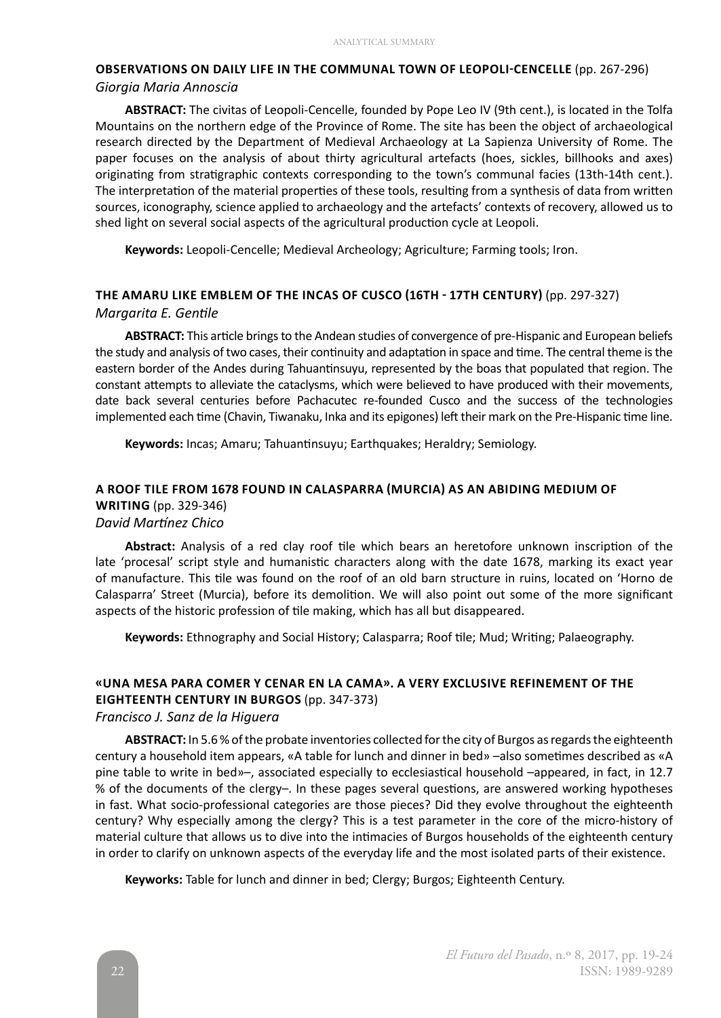## **OBSERVATIONS ON DAILY LIFE IN THE COMMUNAL TOWN OF LEOPOLI-CENCELLE** (pp. 267-296) *Giorgia Maria Annoscia*

**ABSTRACT:** The civitas of Leopoli-Cencelle, founded by Pope Leo IV (9th cent.), is located in the Tolfa Mountains on the northern edge of the Province of Rome. The site has been the object of archaeological research directed by the Department of Medieval Archaeology at La Sapienza University of Rome. The paper focuses on the analysis of about thirty agricultural artefacts (hoes, sickles, billhooks and axes) originating from stratigraphic contexts corresponding to the town's communal facies (13th-14th cent.). The interpretation of the material properties of these tools, resulting from a synthesis of data from written sources, iconography, science applied to archaeology and the artefacts' contexts of recovery, allowed us to shed light on several social aspects of the agricultural production cycle at Leopoli.

**Keywords:** Leopoli-Cencelle; Medieval Archeology; Agriculture; Farming tools; Iron.

# **THE AMARU LIKE EMBLEM OF THE INCAS OF CUSCO (16TH - 17TH CENTURY)** (pp. 297-327) *Margarita E. Gentile*

**ABSTRACT:** This article brings to the Andean studies of convergence of pre-Hispanic and European beliefs the study and analysis of two cases, their continuity and adaptation in space and time. The central theme is the eastern border of the Andes during Tahuantinsuyu, represented by the boas that populated that region. The constant attempts to alleviate the cataclysms, which were believed to have produced with their movements, date back several centuries before Pachacutec re-founded Cusco and the success of the technologies implemented each time (Chavin, Tiwanaku, Inka and its epigones) left their mark on the Pre-Hispanic time line.

**Keywords:** Incas; Amaru; Tahuantinsuyu; Earthquakes; Heraldry; Semiology.

### **A ROOF TILE FROM 1678 FOUND IN CALASPARRA (MURCIA) AS AN ABIDING MEDIUM OF WRITING** (pp. 329-346) *David Martínez Chico*

**Abstract:** Analysis of a red clay roof tile which bears an heretofore unknown inscription of the late 'procesal' script style and humanistic characters along with the date 1678, marking its exact year of manufacture. This tile was found on the roof of an old barn structure in ruins, located on 'Horno de Calasparra' Street (Murcia), before its demolition. We will also point out some of the more significant aspects of the historic profession of tile making, which has all but disappeared.

**Keywords:** Ethnography and Social History; Calasparra; Roof tile; Mud; Writing; Palaeography.

# **«UNA MESA PARA COMER Y CENAR EN LA CAMA». A VERY EXCLUSIVE REFINEMENT OF THE EIGHTEENTH CENTURY IN BURGOS** (pp. 347-373)

#### *Francisco J. Sanz de la Higuera*

**ABSTRACT:** In 5.6 % of the probate inventories collected for the city of Burgos as regards the eighteenth century a household item appears, «A table for lunch and dinner in bed» –also sometimes described as «A pine table to write in bed»–, associated especially to ecclesiastical household –appeared, in fact, in 12.7 % of the documents of the clergy–. In these pages several questions, are answered working hypotheses in fast. What socio-professional categories are those pieces? Did they evolve throughout the eighteenth century? Why especially among the clergy? This is a test parameter in the core of the micro-history of material culture that allows us to dive into the intimacies of Burgos households of the eighteenth century in order to clarify on unknown aspects of the everyday life and the most isolated parts of their existence.

**Keyworks:** Table for lunch and dinner in bed; Clergy; Burgos; Eighteenth Century.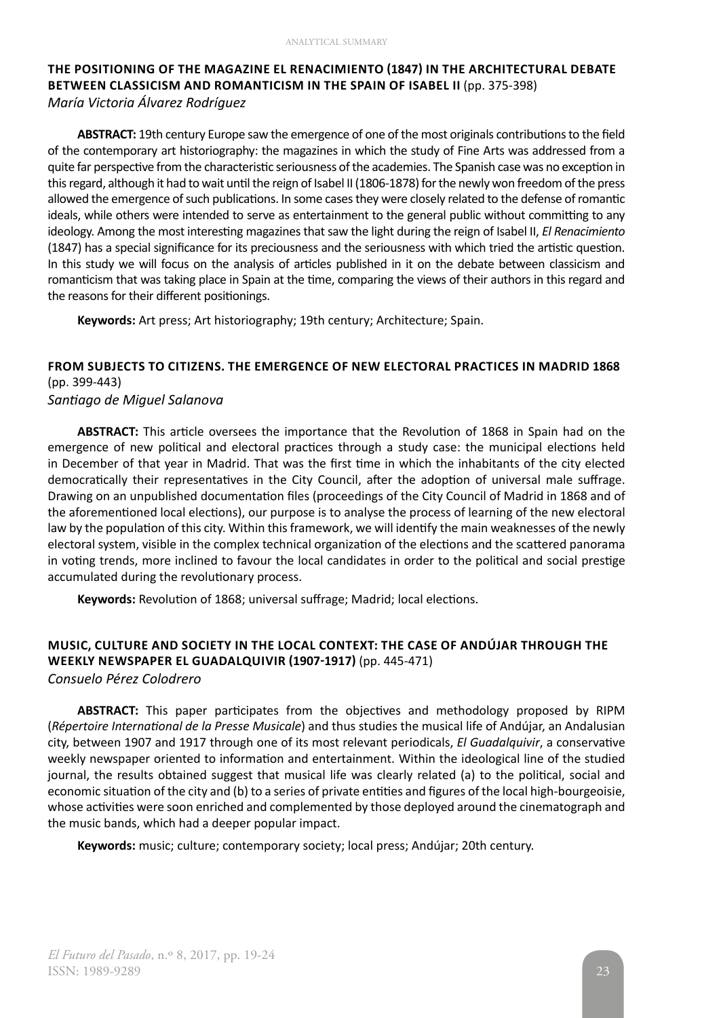### **THE POSITIONING OF THE MAGAZINE EL RENACIMIENTO (1847) IN THE ARCHITECTURAL DEBATE BETWEEN CLASSICISM AND ROMANTICISM IN THE SPAIN OF ISABEL II** (pp. 375-398) *María Victoria Álvarez Rodríguez*

**ABSTRACT:** 19th century Europe saw the emergence of one of the most originals contributions to the field of the contemporary art historiography: the magazines in which the study of Fine Arts was addressed from a quite far perspective from the characteristic seriousness of the academies. The Spanish case was no exception in this regard, although it had to wait until the reign of Isabel II (1806-1878) for the newly won freedom of the press allowed the emergence of such publications. In some cases they were closely related to the defense of romantic ideals, while others were intended to serve as entertainment to the general public without committing to any ideology. Among the most interesting magazines that saw the light during the reign of Isabel II, *El Renacimiento* (1847) has a special significance for its preciousness and the seriousness with which tried the artistic question. In this study we will focus on the analysis of articles published in it on the debate between classicism and romanticism that was taking place in Spain at the time, comparing the views of their authors in this regard and the reasons for their different positionings.

**Keywords:** Art press; Art historiography; 19th century; Architecture; Spain.

### **FROM SUBJECTS TO CITIZENS. THE EMERGENCE OF NEW ELECTORAL PRACTICES IN MADRID 1868**  (pp. 399-443) *Santiago de Miguel Salanova*

**ABSTRACT:** This article oversees the importance that the Revolution of 1868 in Spain had on the emergence of new political and electoral practices through a study case: the municipal elections held in December of that year in Madrid. That was the first time in which the inhabitants of the city elected democratically their representatives in the City Council, after the adoption of universal male suffrage. Drawing on an unpublished documentation files (proceedings of the City Council of Madrid in 1868 and of the aforementioned local elections), our purpose is to analyse the process of learning of the new electoral law by the population of this city. Within this framework, we will identify the main weaknesses of the newly electoral system, visible in the complex technical organization of the elections and the scattered panorama in voting trends, more inclined to favour the local candidates in order to the political and social prestige accumulated during the revolutionary process.

**Keywords:** Revolution of 1868; universal suffrage; Madrid; local elections.

### **MUSIC, CULTURE AND SOCIETY IN THE LOCAL CONTEXT: THE CASE OF ANDÚJAR THROUGH THE WEEKLY NEWSPAPER EL GUADALQUIVIR (1907-1917)** (pp. 445-471) *Consuelo Pérez Colodrero*

**ABSTRACT:** This paper participates from the objectives and methodology proposed by RIPM (*Répertoire International de la Presse Musicale*) and thus studies the musical life of Andújar, an Andalusian city, between 1907 and 1917 through one of its most relevant periodicals, *El Guadalquivir*, a conservative weekly newspaper oriented to information and entertainment. Within the ideological line of the studied journal, the results obtained suggest that musical life was clearly related (a) to the political, social and economic situation of the city and (b) to a series of private entities and figures of the local high-bourgeoisie, whose activities were soon enriched and complemented by those deployed around the cinematograph and the music bands, which had a deeper popular impact.

**Keywords:** music; culture; contemporary society; local press; Andújar; 20th century.